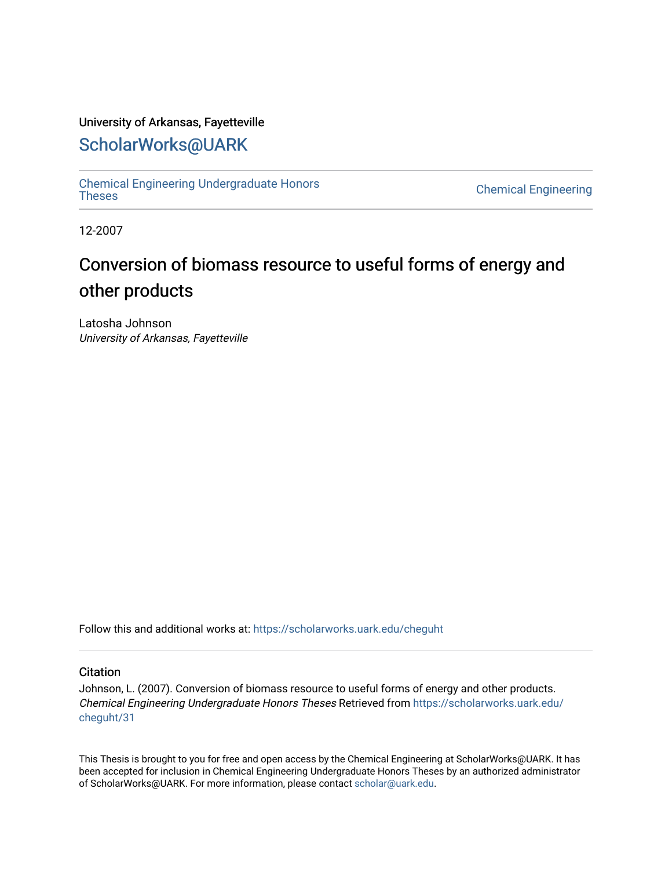#### University of Arkansas, Fayetteville

# [ScholarWorks@UARK](https://scholarworks.uark.edu/)

[Chemical Engineering Undergraduate Honors](https://scholarworks.uark.edu/cheguht)

**Chemical Engineering** 

12-2007

# Conversion of biomass resource to useful forms of energy and other products

Latosha Johnson University of Arkansas, Fayetteville

Follow this and additional works at: [https://scholarworks.uark.edu/cheguht](https://scholarworks.uark.edu/cheguht?utm_source=scholarworks.uark.edu%2Fcheguht%2F31&utm_medium=PDF&utm_campaign=PDFCoverPages)

#### **Citation**

Johnson, L. (2007). Conversion of biomass resource to useful forms of energy and other products. Chemical Engineering Undergraduate Honors Theses Retrieved from [https://scholarworks.uark.edu/](https://scholarworks.uark.edu/cheguht/31?utm_source=scholarworks.uark.edu%2Fcheguht%2F31&utm_medium=PDF&utm_campaign=PDFCoverPages) [cheguht/31](https://scholarworks.uark.edu/cheguht/31?utm_source=scholarworks.uark.edu%2Fcheguht%2F31&utm_medium=PDF&utm_campaign=PDFCoverPages)

This Thesis is brought to you for free and open access by the Chemical Engineering at ScholarWorks@UARK. It has been accepted for inclusion in Chemical Engineering Undergraduate Honors Theses by an authorized administrator of ScholarWorks@UARK. For more information, please contact [scholar@uark.edu.](mailto:scholar@uark.edu)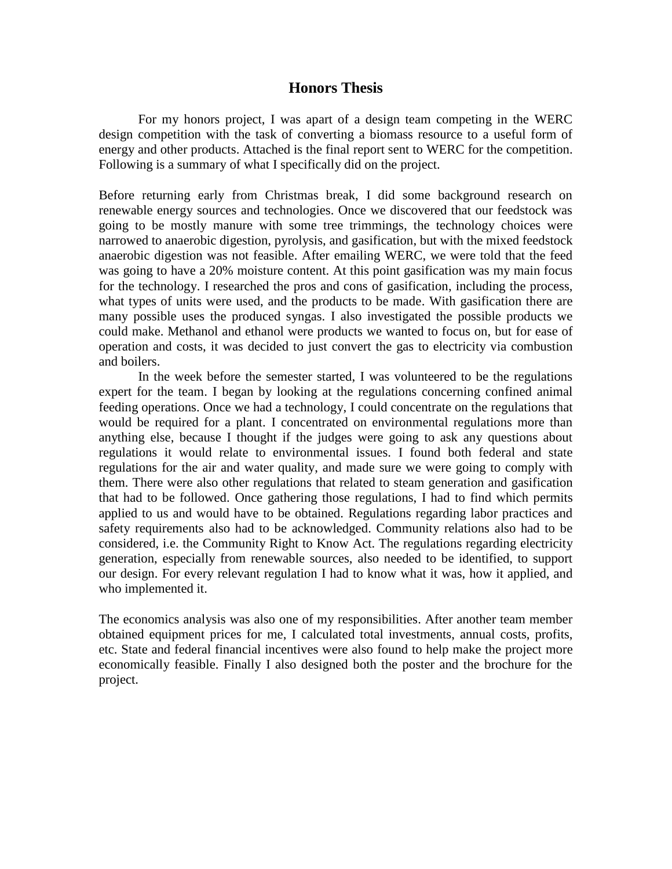#### **Honors Thesis**

For my honors project, I was apart of a design team competing in the WERC design competition with the task of converting a biomass resource to a useful form of energy and other products. Attached is the final report sent to WERC for the competition. Following is a summary of what I specifically did on the project.

Before returning early from Christmas break, I did some background research on renewable energy sources and technologies. Once we discovered that our feedstock was going to be mostly manure with some tree trimmings, the technology choices were narrowed to anaerobic digestion, pyrolysis, and gasification, but with the mixed feedstock anaerobic digestion was not feasible. After emailing WERC, we were told that the feed was going to have a 20% moisture content. At this point gasification was my main focus for the technology. I researched the pros and cons of gasification, including the process, what types of units were used, and the products to be made. With gasification there are many possible uses the produced syngas. I also investigated the possible products we could make. Methanol and ethanol were products we wanted to focus on, but for ease of operation and costs, it was decided to just convert the gas to electricity via combustion and boilers.

In the week before the semester started, I was volunteered to be the regulations expert for the team. I began by looking at the regulations concerning confined animal feeding operations. Once we had a technology, I could concentrate on the regulations that would be required for a plant. I concentrated on environmental regulations more than anything else, because I thought if the judges were going to ask any questions about regulations it would relate to environmental issues. I found both federal and state regulations for the air and water quality, and made sure we were going to comply with them. There were also other regulations that related to steam generation and gasification that had to be followed. Once gathering those regulations, I had to find which permits applied to us and would have to be obtained. Regulations regarding labor practices and safety requirements also had to be acknowledged. Community relations also had to be considered, i.e. the Community Right to Know Act. The regulations regarding electricity generation, especially from renewable sources, also needed to be identified, to support our design. For every relevant regulation I had to know what it was, how it applied, and who implemented it.

The economics analysis was also one of my responsibilities. After another team member obtained equipment prices for me, I calculated total investments, annual costs, profits, etc. State and federal financial incentives were also found to help make the project more economically feasible. Finally I also designed both the poster and the brochure for the project.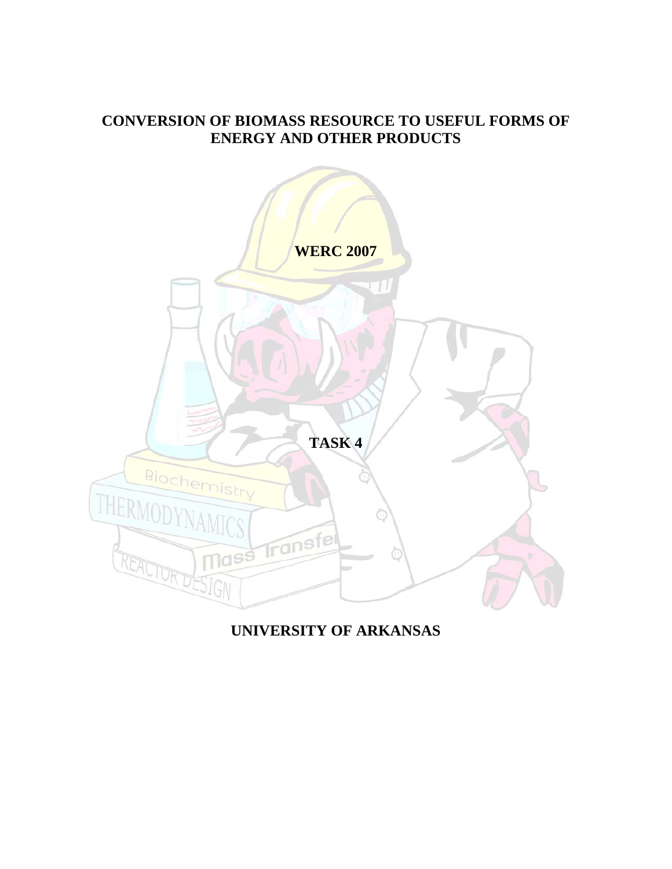## **CONVERSION OF BIOMASS RESOURCE TO USEFUL FORMS OF ENERGY AND OTHER PRODUCTS**



# **UNIVERSITY OF ARKANSAS**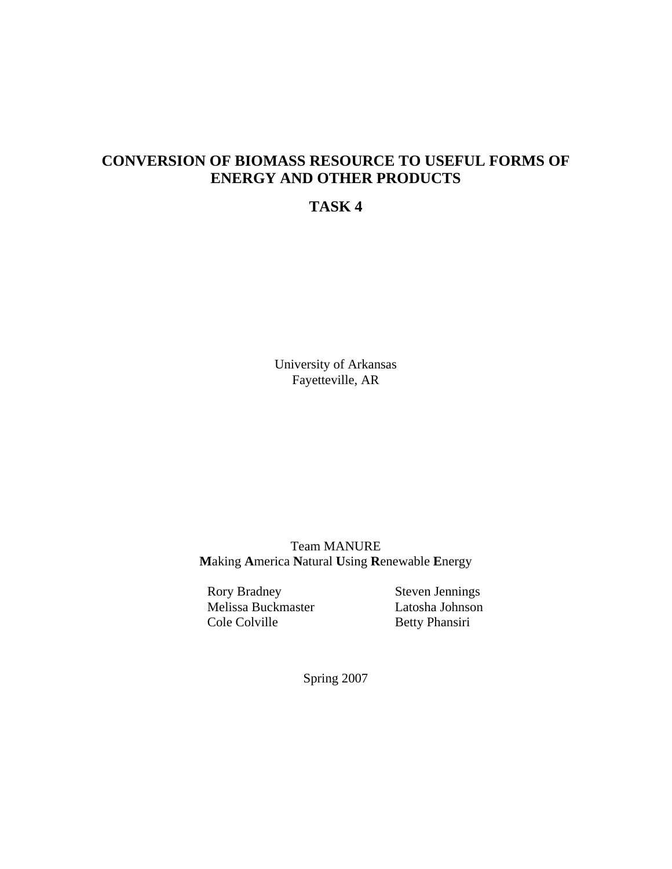# **CONVERSION OF BIOMASS RESOURCE TO USEFUL FORMS OF ENERGY AND OTHER PRODUCTS**

### **TASK 4**

University of Arkansas Fayetteville, AR

Team MANURE **M**aking **A**merica **N**atural **U**sing **R**enewable **E**nergy

Rory Bradney Steven Jennings Melissa Buckmaster Latosha Johnson Cole Colville Betty Phansiri

Spring 2007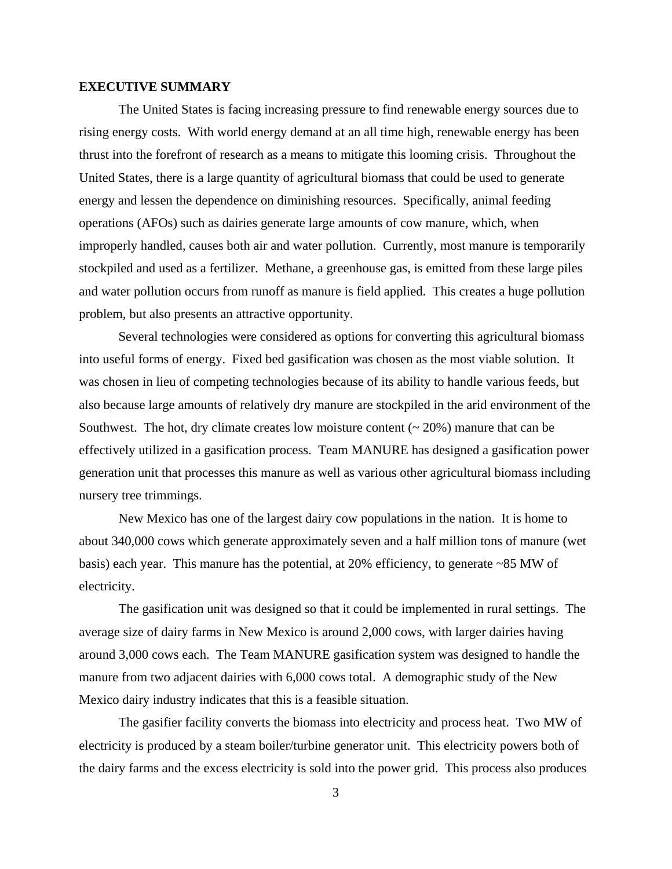#### **EXECUTIVE SUMMARY**

The United States is facing increasing pressure to find renewable energy sources due to rising energy costs. With world energy demand at an all time high, renewable energy has been thrust into the forefront of research as a means to mitigate this looming crisis. Throughout the United States, there is a large quantity of agricultural biomass that could be used to generate energy and lessen the dependence on diminishing resources. Specifically, animal feeding operations (AFOs) such as dairies generate large amounts of cow manure, which, when improperly handled, causes both air and water pollution. Currently, most manure is temporarily stockpiled and used as a fertilizer. Methane, a greenhouse gas, is emitted from these large piles and water pollution occurs from runoff as manure is field applied. This creates a huge pollution problem, but also presents an attractive opportunity.

 Several technologies were considered as options for converting this agricultural biomass into useful forms of energy. Fixed bed gasification was chosen as the most viable solution. It was chosen in lieu of competing technologies because of its ability to handle various feeds, but also because large amounts of relatively dry manure are stockpiled in the arid environment of the Southwest. The hot, dry climate creates low moisture content  $($   $\sim$  20% $)$  manure that can be effectively utilized in a gasification process. Team MANURE has designed a gasification power generation unit that processes this manure as well as various other agricultural biomass including nursery tree trimmings.

New Mexico has one of the largest dairy cow populations in the nation. It is home to about 340,000 cows which generate approximately seven and a half million tons of manure (wet basis) each year. This manure has the potential, at 20% efficiency, to generate ~85 MW of electricity.

The gasification unit was designed so that it could be implemented in rural settings. The average size of dairy farms in New Mexico is around 2,000 cows, with larger dairies having around 3,000 cows each. The Team MANURE gasification system was designed to handle the manure from two adjacent dairies with 6,000 cows total. A demographic study of the New Mexico dairy industry indicates that this is a feasible situation.

The gasifier facility converts the biomass into electricity and process heat. Two MW of electricity is produced by a steam boiler/turbine generator unit. This electricity powers both of the dairy farms and the excess electricity is sold into the power grid. This process also produces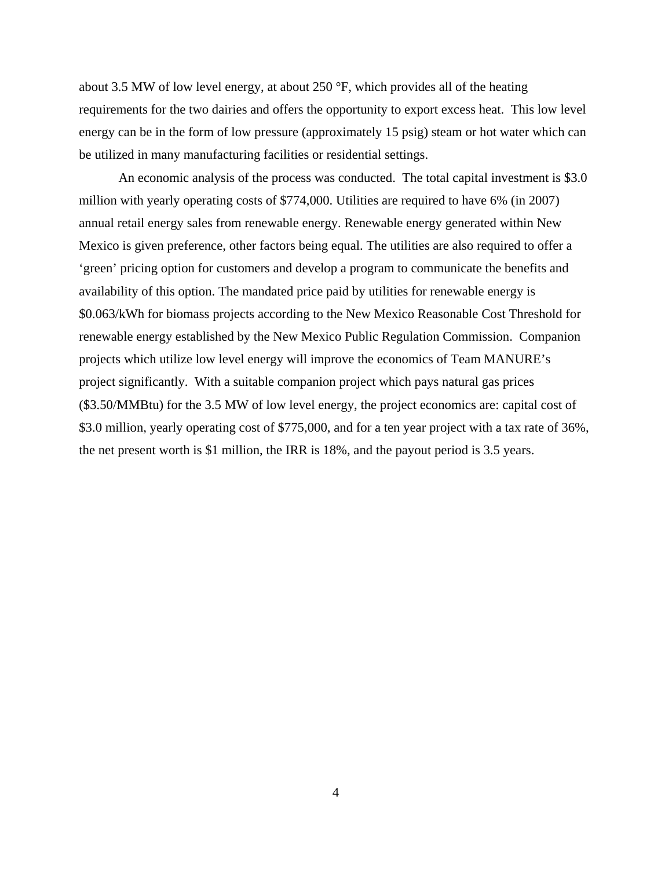about 3.5 MW of low level energy, at about 250 °F, which provides all of the heating requirements for the two dairies and offers the opportunity to export excess heat. This low level energy can be in the form of low pressure (approximately 15 psig) steam or hot water which can be utilized in many manufacturing facilities or residential settings.

An economic analysis of the process was conducted. The total capital investment is \$3.0 million with yearly operating costs of \$774,000. Utilities are required to have 6% (in 2007) annual retail energy sales from renewable energy. Renewable energy generated within New Mexico is given preference, other factors being equal. The utilities are also required to offer a 'green' pricing option for customers and develop a program to communicate the benefits and availability of this option. The mandated price paid by utilities for renewable energy is \$0.063/kWh for biomass projects according to the New Mexico Reasonable Cost Threshold for renewable energy established by the New Mexico Public Regulation Commission. Companion projects which utilize low level energy will improve the economics of Team MANURE's project significantly. With a suitable companion project which pays natural gas prices (\$3.50/MMBtu) for the 3.5 MW of low level energy, the project economics are: capital cost of \$3.0 million, yearly operating cost of \$775,000, and for a ten year project with a tax rate of 36%, the net present worth is \$1 million, the IRR is 18%, and the payout period is 3.5 years.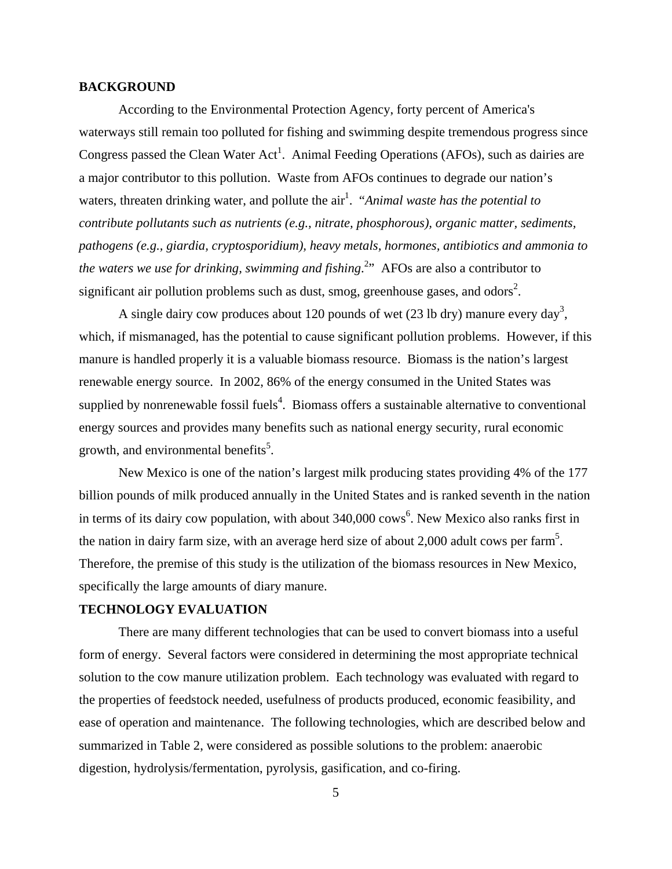#### **BACKGROUND**

According to the Environmental Protection Agency, forty percent of America's waterways still remain too polluted for fishing and swimming despite tremendous progress since Congress passed the Clean Water  $Act^1$ . Animal Feeding Operations (AFOs), such as dairies are a major contributor to this pollution. Waste from AFOs continues to degrade our nation's waters, threaten drinking water, and pollute the air<sup>1</sup>. "*Animal waste has the potential to contribute pollutants such as nutrients (e.g., nitrate, phosphorous), organic matter, sediments, pathogens (e.g., giardia, cryptosporidium), heavy metals, hormones, antibiotics and ammonia to*  the waters we use for drinking, swimming and fishing.<sup>2</sup>" AFOs are also a contributor to significant air pollution problems such as dust, smog, greenhouse gases, and odors<sup>2</sup>.

A single dairy cow produces about 120 pounds of wet  $(23 \text{ lb dry})$  manure every day<sup>3</sup>, which, if mismanaged, has the potential to cause significant pollution problems. However, if this manure is handled properly it is a valuable biomass resource. Biomass is the nation's largest renewable energy source. In 2002, 86% of the energy consumed in the United States was supplied by nonrenewable fossil fuels<sup>4</sup>. Biomass offers a sustainable alternative to conventional energy sources and provides many benefits such as national energy security, rural economic growth, and environmental benefits<sup>5</sup>.

New Mexico is one of the nation's largest milk producing states providing 4% of the 177 billion pounds of milk produced annually in the United States and is ranked seventh in the nation in terms of its dairy cow population, with about  $340,000$  cows<sup>6</sup>. New Mexico also ranks first in the nation in dairy farm size, with an average herd size of about 2,000 adult cows per farm<sup>5</sup>. Therefore, the premise of this study is the utilization of the biomass resources in New Mexico, specifically the large amounts of diary manure.

#### **TECHNOLOGY EVALUATION**

There are many different technologies that can be used to convert biomass into a useful form of energy. Several factors were considered in determining the most appropriate technical solution to the cow manure utilization problem. Each technology was evaluated with regard to the properties of feedstock needed, usefulness of products produced, economic feasibility, and ease of operation and maintenance. The following technologies, which are described below and summarized in Table 2, were considered as possible solutions to the problem: anaerobic digestion, hydrolysis/fermentation, pyrolysis, gasification, and co-firing.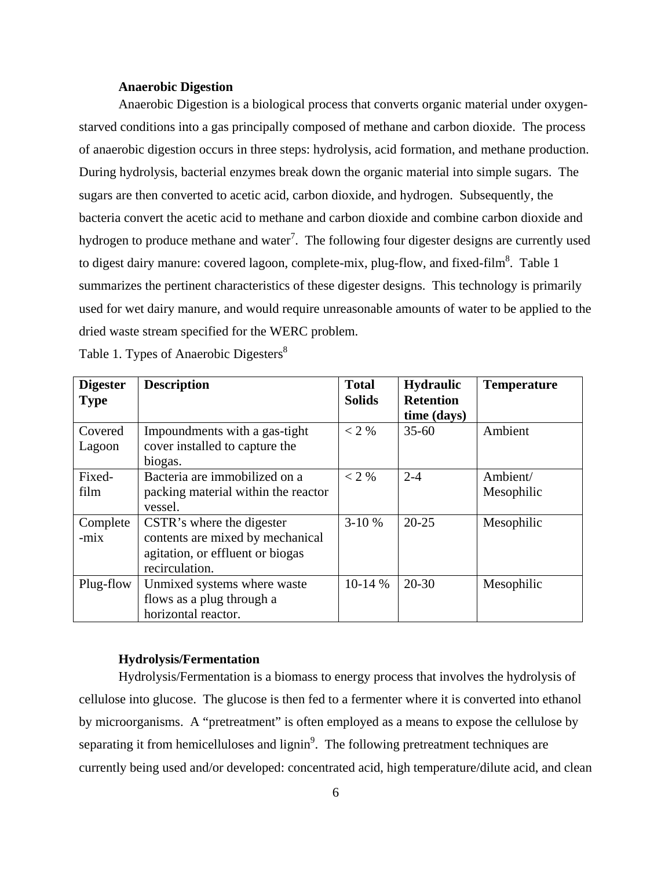#### **Anaerobic Digestion**

Anaerobic Digestion is a biological process that converts organic material under oxygenstarved conditions into a gas principally composed of methane and carbon dioxide. The process of anaerobic digestion occurs in three steps: hydrolysis, acid formation, and methane production. During hydrolysis, bacterial enzymes break down the organic material into simple sugars. The sugars are then converted to acetic acid, carbon dioxide, and hydrogen. Subsequently, the bacteria convert the acetic acid to methane and carbon dioxide and combine carbon dioxide and hydrogen to produce methane and water<sup>7</sup>. The following four digester designs are currently used to digest dairy manure: covered lagoon, complete-mix, plug-flow, and fixed-film<sup>8</sup>. Table 1 summarizes the pertinent characteristics of these digester designs. This technology is primarily used for wet dairy manure, and would require unreasonable amounts of water to be applied to the dried waste stream specified for the WERC problem.

| <b>Digester</b><br><b>Type</b> | <b>Description</b>                        | <b>Total</b><br><b>Solids</b> | <b>Hydraulic</b><br><b>Retention</b><br>time (days) | <b>Temperature</b> |
|--------------------------------|-------------------------------------------|-------------------------------|-----------------------------------------------------|--------------------|
| Covered                        | Impoundments with a gas-tight             | $<$ 2 %                       | $35 - 60$                                           | Ambient            |
| Lagoon                         | cover installed to capture the<br>biogas. |                               |                                                     |                    |
| Fixed-                         | Bacteria are immobilized on a             | $<$ 2 %                       | $2 - 4$                                             | Ambient/           |
| film                           | packing material within the reactor       |                               |                                                     | Mesophilic         |
|                                | vessel.                                   |                               |                                                     |                    |
| Complete                       | CSTR's where the digester                 | $3-10%$                       | $20 - 25$                                           | Mesophilic         |
| $-mix$                         | contents are mixed by mechanical          |                               |                                                     |                    |
|                                | agitation, or effluent or biogas          |                               |                                                     |                    |
|                                | recirculation.                            |                               |                                                     |                    |
| Plug-flow                      | Unmixed systems where waste               | $10-14%$                      | $20 - 30$                                           | Mesophilic         |
|                                | flows as a plug through a                 |                               |                                                     |                    |
|                                | horizontal reactor.                       |                               |                                                     |                    |

Table 1. Types of Anaerobic Digesters<sup>8</sup>

#### **Hydrolysis/Fermentation**

Hydrolysis/Fermentation is a biomass to energy process that involves the hydrolysis of cellulose into glucose. The glucose is then fed to a fermenter where it is converted into ethanol by microorganisms. A "pretreatment" is often employed as a means to expose the cellulose by separating it from hemicelluloses and lignin<sup>9</sup>. The following pretreatment techniques are currently being used and/or developed: concentrated acid, high temperature/dilute acid, and clean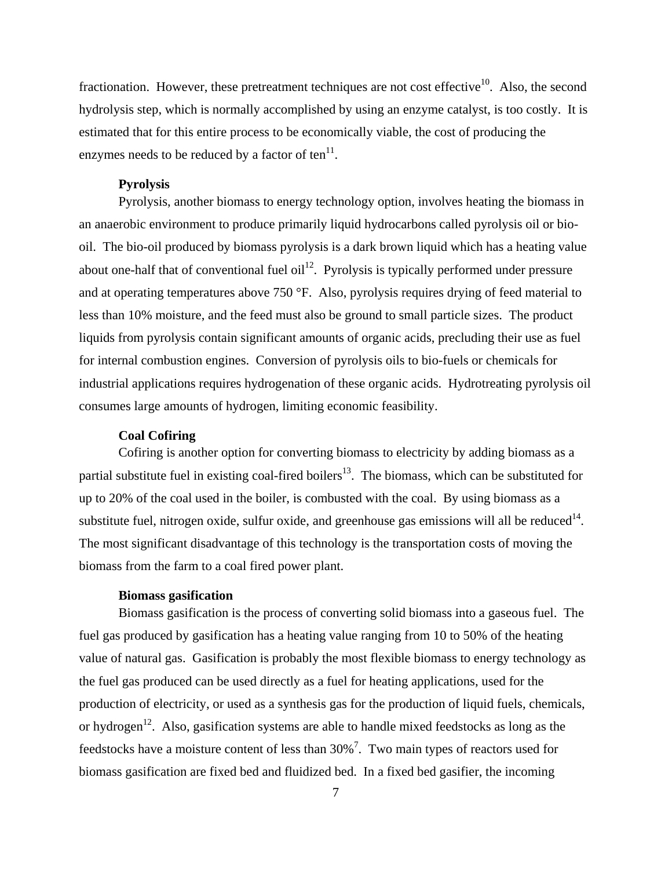fractionation. However, these pretreatment techniques are not cost effective<sup>10</sup>. Also, the second hydrolysis step, which is normally accomplished by using an enzyme catalyst, is too costly. It is estimated that for this entire process to be economically viable, the cost of producing the enzymes needs to be reduced by a factor of ten $^{11}$ .

#### **Pyrolysis**

Pyrolysis, another biomass to energy technology option, involves heating the biomass in an anaerobic environment to produce primarily liquid hydrocarbons called pyrolysis oil or biooil. The bio-oil produced by biomass pyrolysis is a dark brown liquid which has a heating value about one-half that of conventional fuel oil<sup>12</sup>. Pyrolysis is typically performed under pressure and at operating temperatures above 750 °F. Also, pyrolysis requires drying of feed material to less than 10% moisture, and the feed must also be ground to small particle sizes. The product liquids from pyrolysis contain significant amounts of organic acids, precluding their use as fuel for internal combustion engines. Conversion of pyrolysis oils to bio-fuels or chemicals for industrial applications requires hydrogenation of these organic acids. Hydrotreating pyrolysis oil consumes large amounts of hydrogen, limiting economic feasibility.

#### **Coal Cofiring**

Cofiring is another option for converting biomass to electricity by adding biomass as a partial substitute fuel in existing coal-fired boilers<sup>13</sup>. The biomass, which can be substituted for up to 20% of the coal used in the boiler, is combusted with the coal. By using biomass as a substitute fuel, nitrogen oxide, sulfur oxide, and greenhouse gas emissions will all be reduced $14$ . The most significant disadvantage of this technology is the transportation costs of moving the biomass from the farm to a coal fired power plant.

#### **Biomass gasification**

Biomass gasification is the process of converting solid biomass into a gaseous fuel. The fuel gas produced by gasification has a heating value ranging from 10 to 50% of the heating value of natural gas. Gasification is probably the most flexible biomass to energy technology as the fuel gas produced can be used directly as a fuel for heating applications, used for the production of electricity, or used as a synthesis gas for the production of liquid fuels, chemicals, or hydrogen<sup>12</sup>. Also, gasification systems are able to handle mixed feedstocks as long as the feedstocks have a moisture content of less than  $30\%$ <sup>7</sup>. Two main types of reactors used for biomass gasification are fixed bed and fluidized bed. In a fixed bed gasifier, the incoming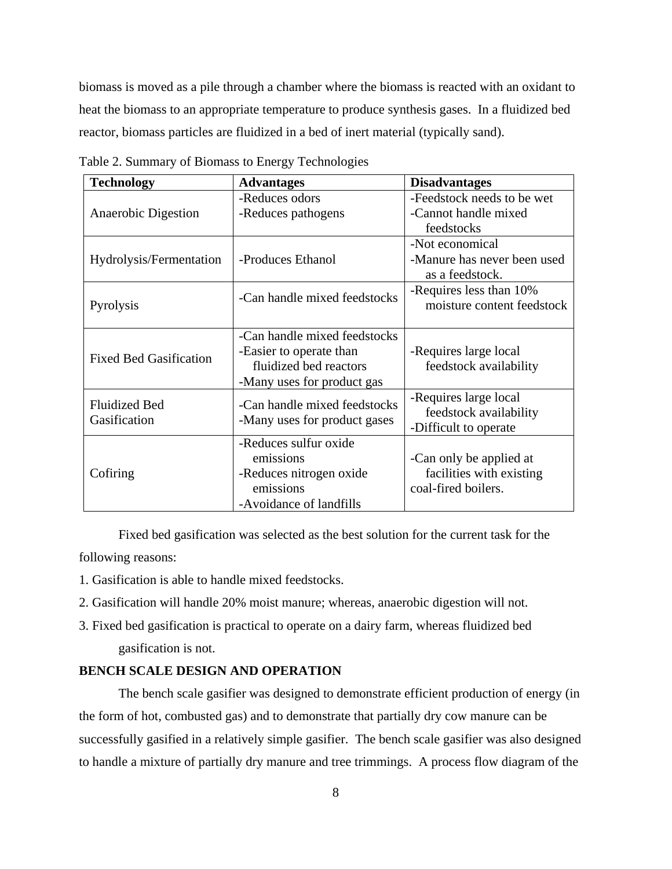biomass is moved as a pile through a chamber where the biomass is reacted with an oxidant to heat the biomass to an appropriate temperature to produce synthesis gases. In a fluidized bed reactor, biomass particles are fluidized in a bed of inert material (typically sand).

| <b>Technology</b>             | <b>Advantages</b>            | <b>Disadvantages</b>        |  |  |  |  |
|-------------------------------|------------------------------|-----------------------------|--|--|--|--|
|                               | -Reduces odors               | -Feedstock needs to be wet  |  |  |  |  |
| Anaerobic Digestion           | -Reduces pathogens           | -Cannot handle mixed        |  |  |  |  |
|                               |                              | feedstocks                  |  |  |  |  |
|                               |                              | -Not economical             |  |  |  |  |
| Hydrolysis/Fermentation       | -Produces Ethanol            | -Manure has never been used |  |  |  |  |
|                               |                              | as a feedstock.             |  |  |  |  |
|                               | -Can handle mixed feedstocks | -Requires less than 10%     |  |  |  |  |
| Pyrolysis                     |                              | moisture content feedstock  |  |  |  |  |
|                               |                              |                             |  |  |  |  |
|                               | -Can handle mixed feedstocks |                             |  |  |  |  |
| <b>Fixed Bed Gasification</b> | -Easier to operate than      | -Requires large local       |  |  |  |  |
|                               | fluidized bed reactors       | feedstock availability      |  |  |  |  |
|                               | -Many uses for product gas   |                             |  |  |  |  |
| <b>Fluidized Bed</b>          | -Can handle mixed feedstocks | -Requires large local       |  |  |  |  |
| Gasification                  | -Many uses for product gases | feedstock availability      |  |  |  |  |
|                               |                              | -Difficult to operate       |  |  |  |  |
|                               | -Reduces sulfur oxide        |                             |  |  |  |  |
|                               | emissions                    | -Can only be applied at     |  |  |  |  |
| Cofiring                      | -Reduces nitrogen oxide      | facilities with existing    |  |  |  |  |
|                               | emissions                    | coal-fired boilers.         |  |  |  |  |
|                               | -Avoidance of landfills      |                             |  |  |  |  |

Table 2. Summary of Biomass to Energy Technologies

 Fixed bed gasification was selected as the best solution for the current task for the following reasons:

- 1. Gasification is able to handle mixed feedstocks.
- 2. Gasification will handle 20% moist manure; whereas, anaerobic digestion will not.
- 3. Fixed bed gasification is practical to operate on a dairy farm, whereas fluidized bed gasification is not.

#### **BENCH SCALE DESIGN AND OPERATION**

 The bench scale gasifier was designed to demonstrate efficient production of energy (in the form of hot, combusted gas) and to demonstrate that partially dry cow manure can be successfully gasified in a relatively simple gasifier. The bench scale gasifier was also designed to handle a mixture of partially dry manure and tree trimmings. A process flow diagram of the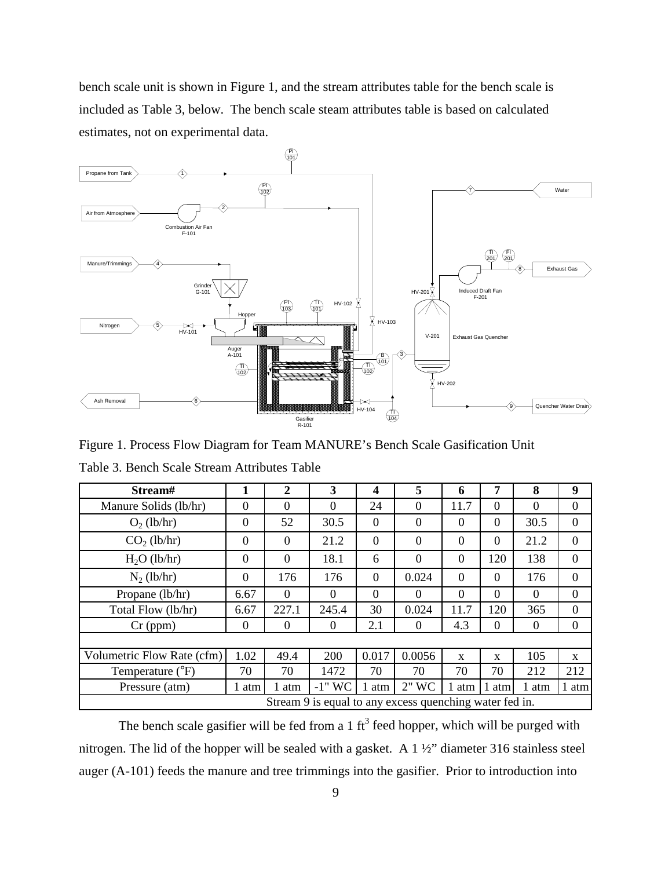bench scale unit is shown in Figure 1, and the stream attributes table for the bench scale is included as Table 3, below. The bench scale steam attributes table is based on calculated estimates, not on experimental data.



Figure 1. Process Flow Diagram for Team MANURE's Bench Scale Gasification Unit

| Stream#                                                 | 1            | $\overline{2}$ | 3         | 4        | 5        | 6           | 7            | 8        | 9            |
|---------------------------------------------------------|--------------|----------------|-----------|----------|----------|-------------|--------------|----------|--------------|
| Manure Solids (lb/hr)                                   | $\Omega$     | $\Omega$       | 0         | 24       | $\Omega$ | 11.7        | $\Omega$     | $\theta$ | $\theta$     |
| $O_2$ (lb/hr)                                           | $\mathbf{0}$ | 52             | 30.5      | $\theta$ | $\theta$ | $\theta$    | $\theta$     | 30.5     | $\theta$     |
| $CO2$ (lb/hr)                                           | $\theta$     | $\overline{0}$ | 21.2      | $\theta$ | $\theta$ | $\theta$    | $\theta$     | 21.2     | $\Omega$     |
| $H2O$ (lb/hr)                                           | $\theta$     | $\overline{0}$ | 18.1      | 6        | $\theta$ | $\theta$    | 120          | 138      | $\theta$     |
| $N_2$ (lb/hr)                                           | $\theta$     | 176            | 176       | $\theta$ | 0.024    | $\Omega$    | $\Omega$     | 176      | $\theta$     |
| Propane (lb/hr)                                         | 6.67         | $\Omega$       | $\Omega$  | $\Omega$ | $\Omega$ | $\Omega$    | $\Omega$     | $\Omega$ | $\Omega$     |
| Total Flow (lb/hr)                                      | 6.67         | 227.1          | 245.4     | 30       | 0.024    | 11.7        | 120          | 365      | $\Omega$     |
| $Cr$ (ppm)                                              | $\Omega$     | $\overline{0}$ | $\theta$  | 2.1      | $\Omega$ | 4.3         | 0            | $\Omega$ | $\Omega$     |
|                                                         |              |                |           |          |          |             |              |          |              |
| Volumetric Flow Rate (cfm)                              | 1.02         | 49.4           | 200       | 0.017    | 0.0056   | $\mathbf x$ | $\mathbf{x}$ | 105      | $\mathbf{x}$ |
| Temperature (°F)                                        | 70           | 70             | 1472      | 70       | 70       | 70          | 70           | 212      | 212          |
| Pressure (atm)                                          | 1 atm        | 1 atm          | $-1$ " WC | 1 atm    | $2"$ WC  | 1 atm       | atm          | 1 atm    | 1 atm        |
| Stream 9 is equal to any excess quenching water fed in. |              |                |           |          |          |             |              |          |              |

Table 3. Bench Scale Stream Attributes Table

The bench scale gasifier will be fed from a 1  $\text{ft}^3$  feed hopper, which will be purged with nitrogen. The lid of the hopper will be sealed with a gasket. A 1 ½" diameter 316 stainless steel auger (A-101) feeds the manure and tree trimmings into the gasifier. Prior to introduction into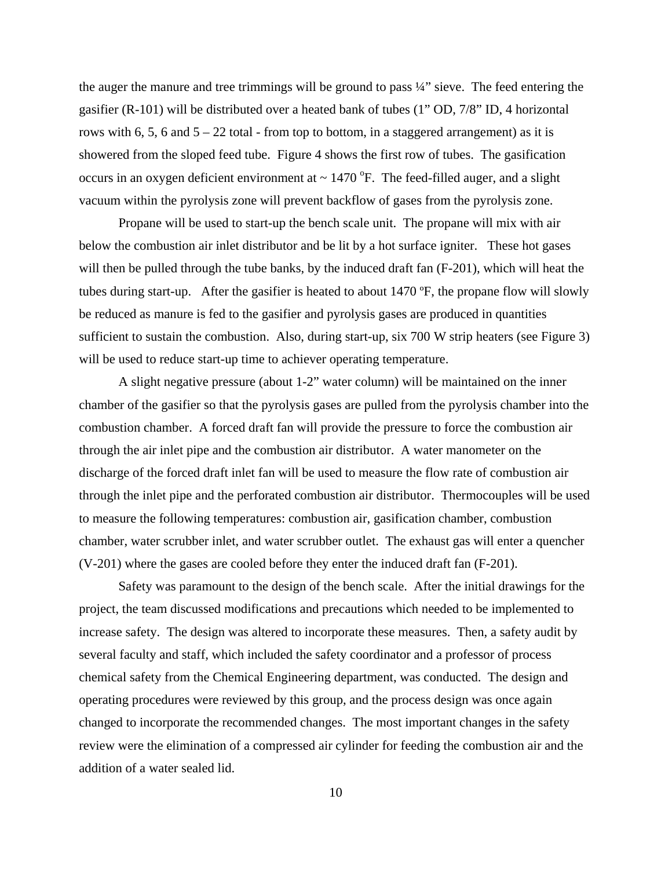the auger the manure and tree trimmings will be ground to pass  $\frac{1}{4}$ " sieve. The feed entering the gasifier (R-101) will be distributed over a heated bank of tubes (1" OD, 7/8" ID, 4 horizontal rows with 6, 5, 6 and  $5 - 22$  total - from top to bottom, in a staggered arrangement) as it is showered from the sloped feed tube. Figure 4 shows the first row of tubes. The gasification occurs in an oxygen deficient environment at  $\sim 1470$  °F. The feed-filled auger, and a slight vacuum within the pyrolysis zone will prevent backflow of gases from the pyrolysis zone.

Propane will be used to start-up the bench scale unit. The propane will mix with air below the combustion air inlet distributor and be lit by a hot surface igniter. These hot gases will then be pulled through the tube banks, by the induced draft fan (F-201), which will heat the tubes during start-up. After the gasifier is heated to about 1470 ºF, the propane flow will slowly be reduced as manure is fed to the gasifier and pyrolysis gases are produced in quantities sufficient to sustain the combustion. Also, during start-up, six 700 W strip heaters (see Figure 3) will be used to reduce start-up time to achiever operating temperature.

 A slight negative pressure (about 1-2" water column) will be maintained on the inner chamber of the gasifier so that the pyrolysis gases are pulled from the pyrolysis chamber into the combustion chamber. A forced draft fan will provide the pressure to force the combustion air through the air inlet pipe and the combustion air distributor. A water manometer on the discharge of the forced draft inlet fan will be used to measure the flow rate of combustion air through the inlet pipe and the perforated combustion air distributor. Thermocouples will be used to measure the following temperatures: combustion air, gasification chamber, combustion chamber, water scrubber inlet, and water scrubber outlet. The exhaust gas will enter a quencher (V-201) where the gases are cooled before they enter the induced draft fan (F-201).

 Safety was paramount to the design of the bench scale. After the initial drawings for the project, the team discussed modifications and precautions which needed to be implemented to increase safety. The design was altered to incorporate these measures. Then, a safety audit by several faculty and staff, which included the safety coordinator and a professor of process chemical safety from the Chemical Engineering department, was conducted. The design and operating procedures were reviewed by this group, and the process design was once again changed to incorporate the recommended changes. The most important changes in the safety review were the elimination of a compressed air cylinder for feeding the combustion air and the addition of a water sealed lid.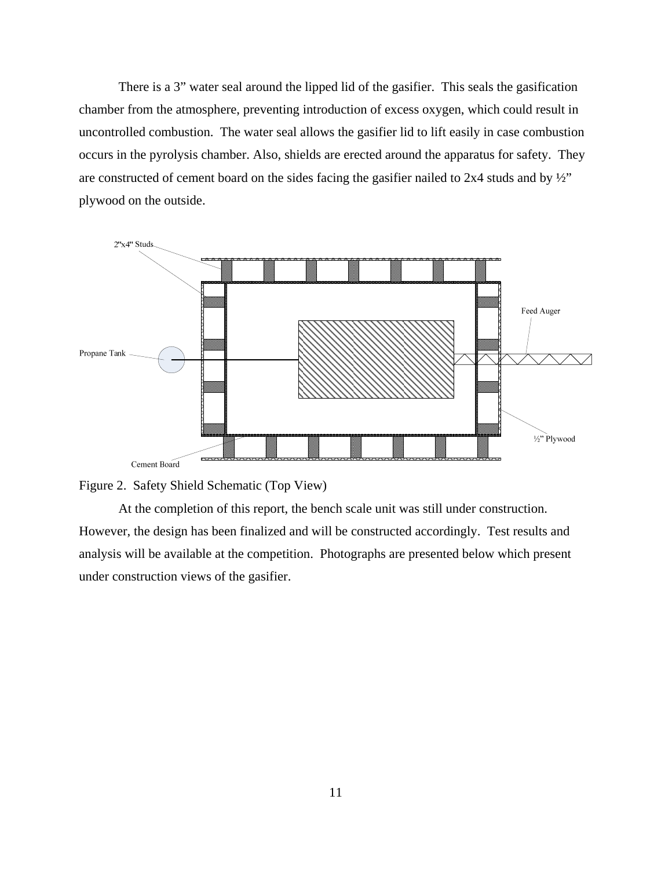There is a 3" water seal around the lipped lid of the gasifier. This seals the gasification chamber from the atmosphere, preventing introduction of excess oxygen, which could result in uncontrolled combustion. The water seal allows the gasifier lid to lift easily in case combustion occurs in the pyrolysis chamber. Also, shields are erected around the apparatus for safety. They are constructed of cement board on the sides facing the gasifier nailed to  $2x4$  studs and by  $\frac{1}{2}$ " plywood on the outside.





At the completion of this report, the bench scale unit was still under construction. However, the design has been finalized and will be constructed accordingly. Test results and analysis will be available at the competition. Photographs are presented below which present under construction views of the gasifier.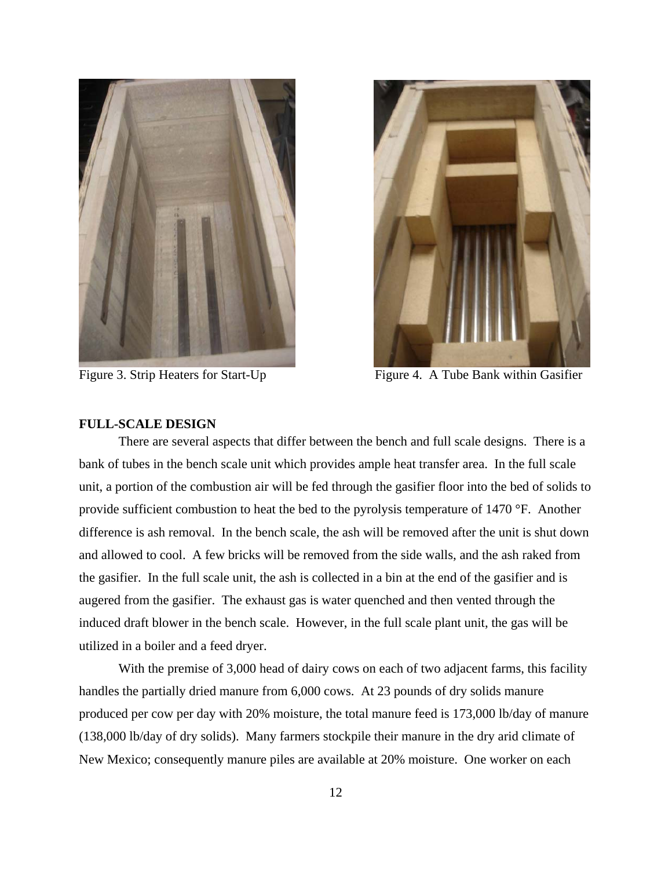



Figure 3. Strip Heaters for Start-Up Figure 4. A Tube Bank within Gasifier

#### **FULL-SCALE DESIGN**

There are several aspects that differ between the bench and full scale designs. There is a bank of tubes in the bench scale unit which provides ample heat transfer area. In the full scale unit, a portion of the combustion air will be fed through the gasifier floor into the bed of solids to provide sufficient combustion to heat the bed to the pyrolysis temperature of 1470 °F. Another difference is ash removal. In the bench scale, the ash will be removed after the unit is shut down and allowed to cool. A few bricks will be removed from the side walls, and the ash raked from the gasifier. In the full scale unit, the ash is collected in a bin at the end of the gasifier and is augered from the gasifier. The exhaust gas is water quenched and then vented through the induced draft blower in the bench scale. However, in the full scale plant unit, the gas will be utilized in a boiler and a feed dryer.

 With the premise of 3,000 head of dairy cows on each of two adjacent farms, this facility handles the partially dried manure from 6,000 cows. At 23 pounds of dry solids manure produced per cow per day with 20% moisture, the total manure feed is 173,000 lb/day of manure (138,000 lb/day of dry solids). Many farmers stockpile their manure in the dry arid climate of New Mexico; consequently manure piles are available at 20% moisture. One worker on each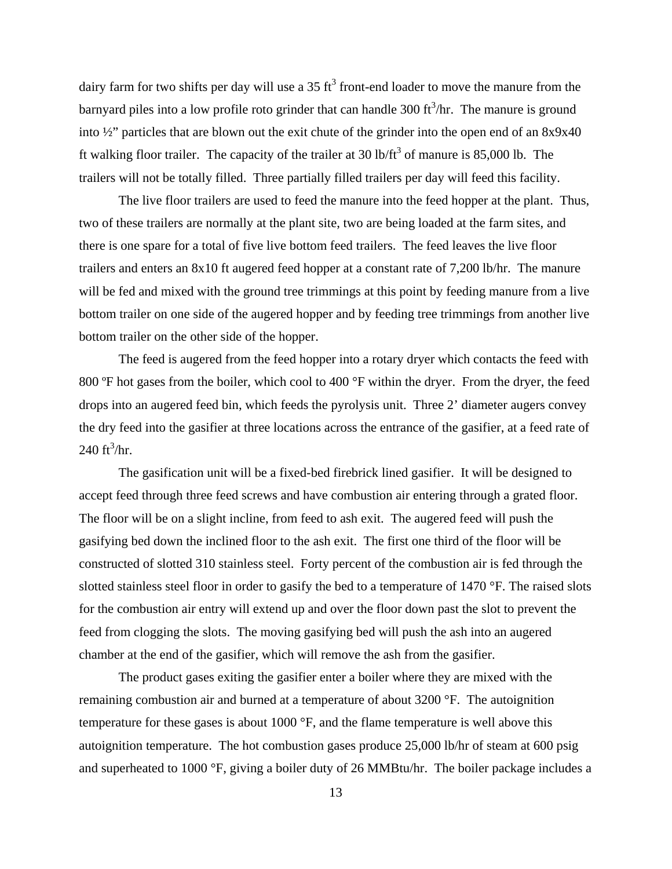dairy farm for two shifts per day will use a 35 ft<sup>3</sup> front-end loader to move the manure from the barnyard piles into a low profile roto grinder that can handle 300 ft<sup>3</sup>/hr. The manure is ground into ½" particles that are blown out the exit chute of the grinder into the open end of an 8x9x40 ft walking floor trailer. The capacity of the trailer at 30 lb/ft<sup>3</sup> of manure is 85,000 lb. The trailers will not be totally filled. Three partially filled trailers per day will feed this facility.

 The live floor trailers are used to feed the manure into the feed hopper at the plant. Thus, two of these trailers are normally at the plant site, two are being loaded at the farm sites, and there is one spare for a total of five live bottom feed trailers. The feed leaves the live floor trailers and enters an 8x10 ft augered feed hopper at a constant rate of 7,200 lb/hr. The manure will be fed and mixed with the ground tree trimmings at this point by feeding manure from a live bottom trailer on one side of the augered hopper and by feeding tree trimmings from another live bottom trailer on the other side of the hopper.

 The feed is augered from the feed hopper into a rotary dryer which contacts the feed with 800 ºF hot gases from the boiler, which cool to 400 °F within the dryer. From the dryer, the feed drops into an augered feed bin, which feeds the pyrolysis unit. Three 2' diameter augers convey the dry feed into the gasifier at three locations across the entrance of the gasifier, at a feed rate of  $240 \text{ ft}^3/\text{hr}.$ 

The gasification unit will be a fixed-bed firebrick lined gasifier. It will be designed to accept feed through three feed screws and have combustion air entering through a grated floor. The floor will be on a slight incline, from feed to ash exit. The augered feed will push the gasifying bed down the inclined floor to the ash exit. The first one third of the floor will be constructed of slotted 310 stainless steel. Forty percent of the combustion air is fed through the slotted stainless steel floor in order to gasify the bed to a temperature of 1470 °F. The raised slots for the combustion air entry will extend up and over the floor down past the slot to prevent the feed from clogging the slots. The moving gasifying bed will push the ash into an augered chamber at the end of the gasifier, which will remove the ash from the gasifier.

 The product gases exiting the gasifier enter a boiler where they are mixed with the remaining combustion air and burned at a temperature of about 3200 °F. The autoignition temperature for these gases is about 1000 °F, and the flame temperature is well above this autoignition temperature. The hot combustion gases produce 25,000 lb/hr of steam at 600 psig and superheated to 1000 °F, giving a boiler duty of 26 MMBtu/hr. The boiler package includes a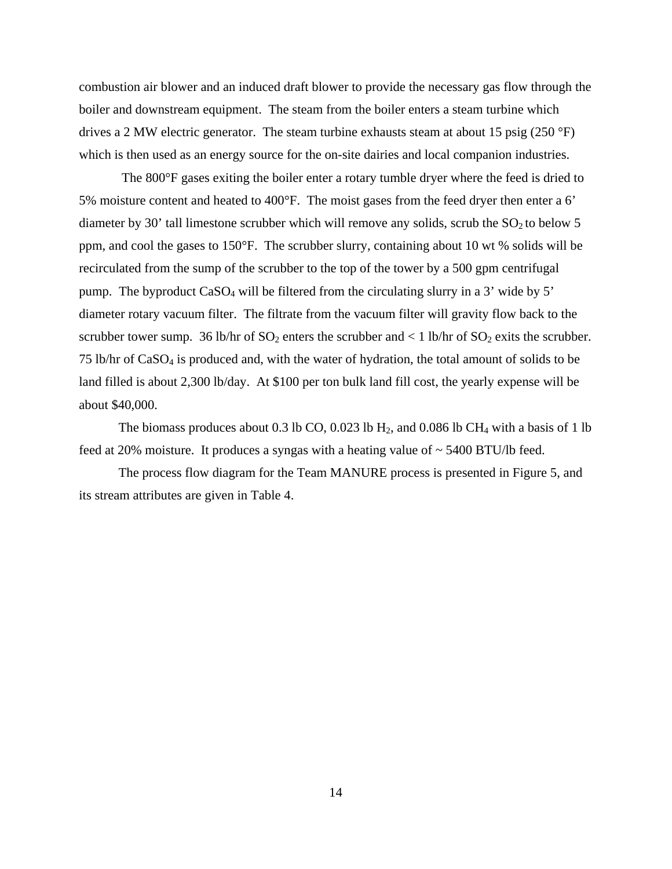combustion air blower and an induced draft blower to provide the necessary gas flow through the boiler and downstream equipment. The steam from the boiler enters a steam turbine which drives a 2 MW electric generator. The steam turbine exhausts steam at about 15 psig (250 °F) which is then used as an energy source for the on-site dairies and local companion industries.

 The 800°F gases exiting the boiler enter a rotary tumble dryer where the feed is dried to 5% moisture content and heated to 400°F. The moist gases from the feed dryer then enter a 6' diameter by 30' tall limestone scrubber which will remove any solids, scrub the  $SO_2$  to below 5 ppm, and cool the gases to 150°F. The scrubber slurry, containing about 10 wt % solids will be recirculated from the sump of the scrubber to the top of the tower by a 500 gpm centrifugal pump. The byproduct CaSO4 will be filtered from the circulating slurry in a 3' wide by 5' diameter rotary vacuum filter. The filtrate from the vacuum filter will gravity flow back to the scrubber tower sump. 36 lb/hr of  $SO_2$  enters the scrubber and  $\lt 1$  lb/hr of  $SO_2$  exits the scrubber. 75 lb/hr of CaSO4 is produced and, with the water of hydration, the total amount of solids to be land filled is about 2,300 lb/day. At \$100 per ton bulk land fill cost, the yearly expense will be about \$40,000.

The biomass produces about 0.3 lb CO, 0.023 lb  $H_2$ , and 0.086 lb CH<sub>4</sub> with a basis of 1 lb feed at 20% moisture. It produces a syngas with a heating value of  $\sim$  5400 BTU/lb feed.

The process flow diagram for the Team MANURE process is presented in Figure 5, and its stream attributes are given in Table 4.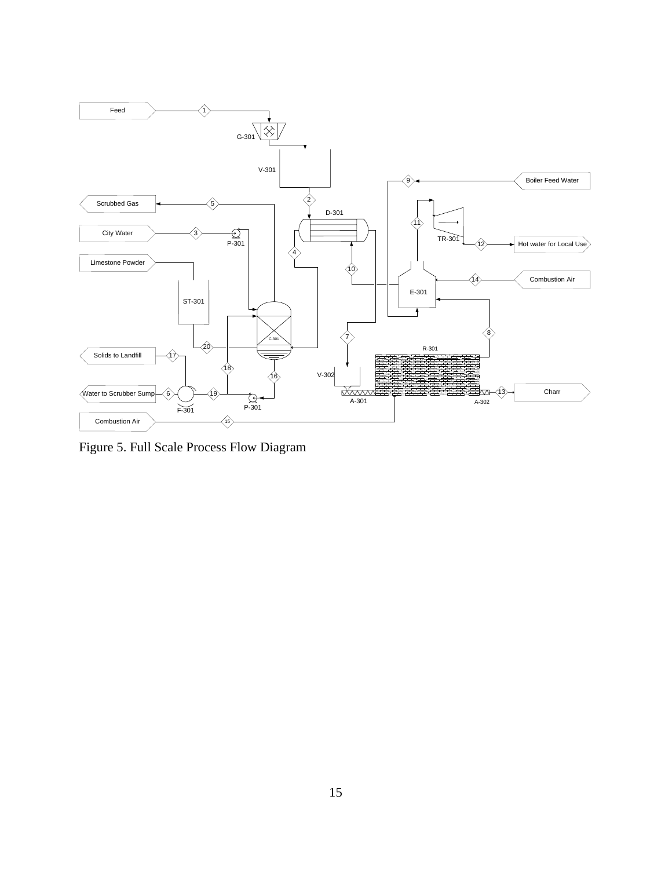

Figure 5. Full Scale Process Flow Diagram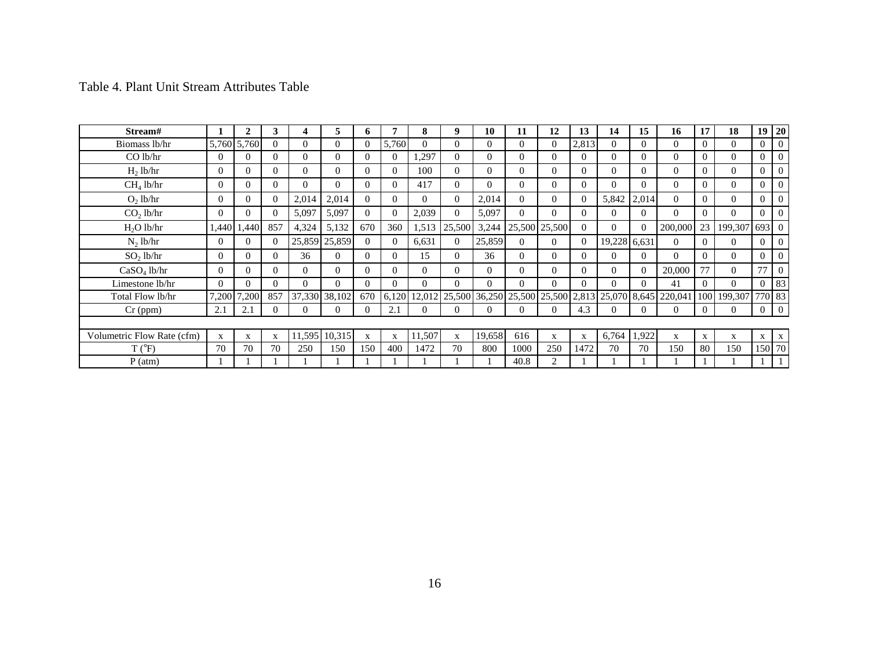| Stream#                    |              | 2           | 3        | 4        | 5             | 6            | 7           | 8        | 9            | 10       | 11            | 12           | 13       | 14           | 15       | 16                                                            | 17           | 18                 | 19 <sup>°</sup> | 20             |
|----------------------------|--------------|-------------|----------|----------|---------------|--------------|-------------|----------|--------------|----------|---------------|--------------|----------|--------------|----------|---------------------------------------------------------------|--------------|--------------------|-----------------|----------------|
| Biomass lb/hr              |              | 5,760 5,760 | $\Omega$ | $\Omega$ | $\Omega$      | $\Omega$     | 5,760       | $\Omega$ | $\Omega$     | $\Omega$ | $\Omega$      | $\Omega$     | 2,813    | $\Omega$     | $\Omega$ | $\Omega$                                                      | $\Omega$     | $\Omega$           | $\Omega$        | $\mathbf{0}$   |
| $CO$ lb/hr                 | $\Omega$     | $\Omega$    | $\Omega$ | $\Omega$ | $\Omega$      | $\Omega$     | $\Omega$    | ,297     | $\Omega$     | $\Omega$ | $\Omega$      | $\Omega$     | $\Omega$ | $\Omega$     | $\Omega$ | $\Omega$                                                      | $\Omega$     | $\Omega$           | $\Omega$        | $\mathbf{0}$   |
| H <sub>2</sub> lb/hr       | $\Omega$     | $\Omega$    | $\Omega$ | $\Omega$ | $\Omega$      | $\Omega$     | $\Omega$    | 100      | $\Omega$     | $\Omega$ | $\Omega$      | $\Omega$     | $\Omega$ | $\Omega$     | $\Omega$ | $\Omega$                                                      | $\Omega$     | $\Omega$           | $\Omega$        | $\overline{0}$ |
| $CH4$ lb/hr                | $\theta$     | 0           | $\Omega$ | $\Omega$ | $\Omega$      | $\Omega$     | $\Omega$    | 417      | $\Omega$     | $\Omega$ | $\Omega$      | $\Omega$     | $\Omega$ | $\Omega$     | $\Omega$ | $\Omega$                                                      | 0            | $\Omega$           | $\Omega$        | $\mathbf{0}$   |
| O <sub>2</sub> lb/hr       | 0            | 0           | $\Omega$ | 2,014    | 2,014         | $\Omega$     | $\Omega$    | $\Omega$ | $\Omega$     | 2,014    | $\Omega$      | $\Omega$     | $\Omega$ | 5,842        | 2,014    | $\Omega$                                                      | 0            | 0                  | $\Omega$        | $\Omega$       |
| $CO2$ lb/hr                | $\Omega$     | 0           | $\Omega$ | 5,097    | 5,097         | $\Omega$     | $\Omega$    | 2,039    | $\Omega$     | 5,097    | $\Omega$      | $\Omega$     | $\Omega$ | $\Omega$     | $\Omega$ | $\Omega$                                                      | 0            |                    | $\Omega$        | $\overline{0}$ |
| $H2O$ lb/hr                | 1,440        | 1,440       | 857      | 4,324    | 5,132         | 670          | 360         | 1,513    | 25,500       | 3,244    | 25,500 25,500 |              | $\Omega$ | $\Omega$     | $\Omega$ | 200,000                                                       | 23           | 199,307            | 693 0           |                |
| $N_2$ lb/hr                | $\Omega$     | 0           | $\Omega$ |          | 25,859 25,859 | $\Omega$     | $\Omega$    | 6,631    | $\Omega$     | 25,859   | $\Omega$      | $\Omega$     | $\Omega$ | 19,228 6,631 |          | $\Omega$                                                      |              | $\Omega$           | $\Omega$        | $\overline{0}$ |
| $SO2$ lb/hr                | $\Omega$     | $\Omega$    | $\Omega$ | 36       | $\theta$      | $\Omega$     | $\theta$    | 15       | $\Omega$     | 36       | $\Omega$      | $\Omega$     | $\Omega$ | $\Omega$     | $\Omega$ | $\Omega$                                                      | $\Omega$     | $\Omega$           | $\Omega$        | $\Omega$       |
| $CaSO4$ lb/hr              | $\Omega$     | 0           | $\Omega$ | $\Omega$ | $\Omega$      | $\Omega$     | $\Omega$    | $\Omega$ | $\Omega$     | $\Omega$ | $\Omega$      | $\Omega$     | $\Omega$ | $\Omega$     | $\Omega$ | 20,000                                                        | 77           | $\Omega$           | 77              | $\Omega$       |
| Limestone lb/hr            | 0            | 0           | $\Omega$ | $\Omega$ | $\Omega$      | $\Omega$     | $\Omega$    | $\Omega$ | $\Omega$     | $\Omega$ | $\Omega$      | 0            | $\Omega$ | $\Omega$     | $\Omega$ | 41                                                            | 0            | $\Omega$           |                 | 0 83           |
| Total Flow lb/hr           | 7,200        | 7,200       | 857      |          | 37,330 38,102 | 670          | 6,120       |          |              |          |               |              |          |              |          | 12,012 25,500 36,250 25,500 25,500 2,813 25,070 8,645 220,041 |              | 100 199,307 770 83 |                 |                |
| $Cr$ (ppm)                 | 2.1          | 2.1         | $\theta$ | $\Omega$ | $\theta$      | $\Omega$     | 2.1         | $\theta$ |              | $\theta$ | $\Omega$      | $\Omega$     | 4.3      | $\Omega$     | $\Omega$ | $\Omega$                                                      | 0            | $\Omega$           | $\overline{0}$  | $\overline{0}$ |
|                            |              |             |          |          |               |              |             |          |              |          |               |              |          |              |          |                                                               |              |                    |                 |                |
| Volumetric Flow Rate (cfm) | $\mathbf{x}$ | X           | X        |          | 11,595 10,315 | $\mathbf{X}$ | $\mathbf X$ | 11,507   | $\mathbf{X}$ | 19,658   | 616           | $\mathbf{X}$ | X        | 6,764        | 1,922    | $\mathbf x$                                                   | $\mathbf{X}$ | X                  | $\mathbf{X}$    | $\mathbf{X}$   |
| $T(^{\circ}F)$             | 70           | 70          | 70       | 250      | 150           | 150          | 400         | 1472     | 70           | 800      | 1000          | 250          | 1472     | 70           | 70       | 150                                                           | 80           | 150                |                 | 150 70         |
| $P$ (atm)                  |              |             |          |          |               |              |             |          |              |          | 40.8          | 2            |          |              |          |                                                               |              |                    |                 |                |

Table 4. Plant Unit Stream Attributes Table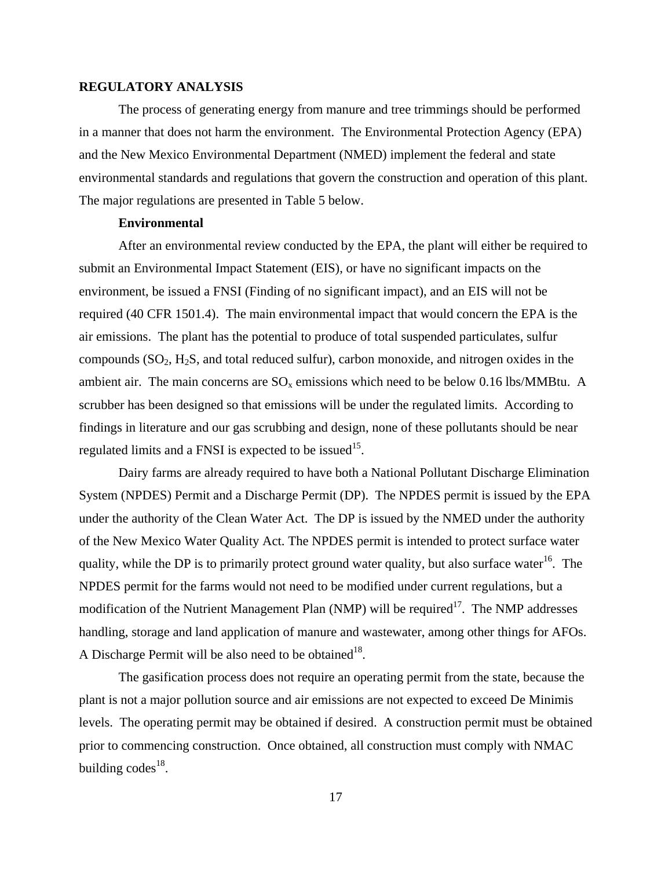#### **REGULATORY ANALYSIS**

 The process of generating energy from manure and tree trimmings should be performed in a manner that does not harm the environment. The Environmental Protection Agency (EPA) and the New Mexico Environmental Department (NMED) implement the federal and state environmental standards and regulations that govern the construction and operation of this plant. The major regulations are presented in Table 5 below.

#### **Environmental**

 After an environmental review conducted by the EPA, the plant will either be required to submit an Environmental Impact Statement (EIS), or have no significant impacts on the environment, be issued a FNSI (Finding of no significant impact), and an EIS will not be required (40 CFR 1501.4). The main environmental impact that would concern the EPA is the air emissions. The plant has the potential to produce of total suspended particulates, sulfur compounds  $(SO_2, H_2S)$ , and total reduced sulfur), carbon monoxide, and nitrogen oxides in the ambient air. The main concerns are  $SO_x$  emissions which need to be below 0.16 lbs/MMBtu. A scrubber has been designed so that emissions will be under the regulated limits. According to findings in literature and our gas scrubbing and design, none of these pollutants should be near regulated limits and a FNSI is expected to be issued<sup>15</sup>.

 Dairy farms are already required to have both a National Pollutant Discharge Elimination System (NPDES) Permit and a Discharge Permit (DP). The NPDES permit is issued by the EPA under the authority of the Clean Water Act. The DP is issued by the NMED under the authority of the New Mexico Water Quality Act. The NPDES permit is intended to protect surface water quality, while the DP is to primarily protect ground water quality, but also surface water<sup>16</sup>. The NPDES permit for the farms would not need to be modified under current regulations, but a modification of the Nutrient Management Plan (NMP) will be required<sup>17</sup>. The NMP addresses handling, storage and land application of manure and wastewater, among other things for AFOs. A Discharge Permit will be also need to be obtained<sup>18</sup>.

The gasification process does not require an operating permit from the state, because the plant is not a major pollution source and air emissions are not expected to exceed De Minimis levels. The operating permit may be obtained if desired. A construction permit must be obtained prior to commencing construction. Once obtained, all construction must comply with NMAC building  $codes^{18}$ .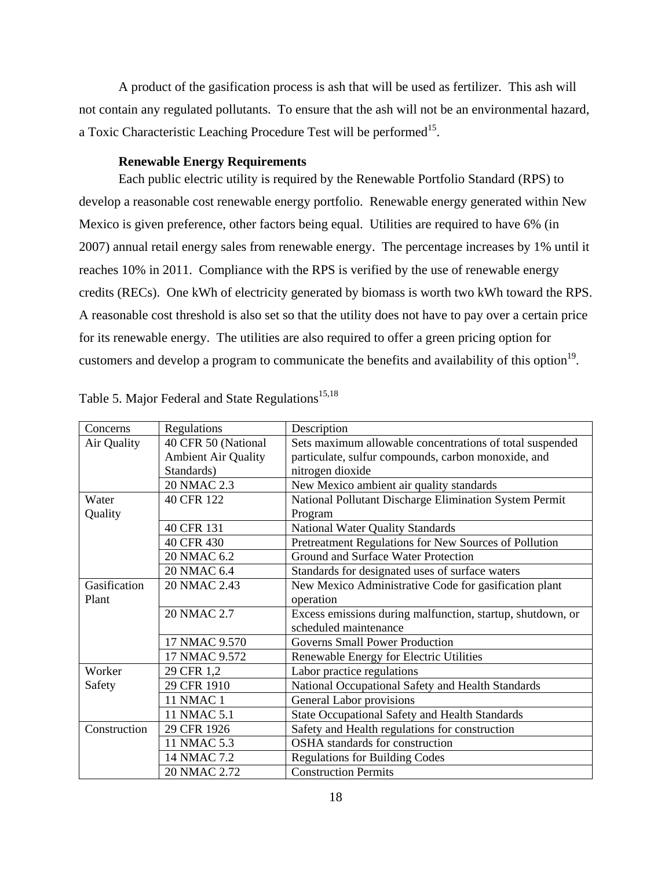A product of the gasification process is ash that will be used as fertilizer. This ash will not contain any regulated pollutants. To ensure that the ash will not be an environmental hazard, a Toxic Characteristic Leaching Procedure Test will be performed<sup>15</sup>.

#### **Renewable Energy Requirements**

Each public electric utility is required by the Renewable Portfolio Standard (RPS) to develop a reasonable cost renewable energy portfolio. Renewable energy generated within New Mexico is given preference, other factors being equal. Utilities are required to have 6% (in 2007) annual retail energy sales from renewable energy. The percentage increases by 1% until it reaches 10% in 2011. Compliance with the RPS is verified by the use of renewable energy credits (RECs). One kWh of electricity generated by biomass is worth two kWh toward the RPS. A reasonable cost threshold is also set so that the utility does not have to pay over a certain price for its renewable energy. The utilities are also required to offer a green pricing option for customers and develop a program to communicate the benefits and availability of this option<sup>19</sup>.

| Concerns     | Regulations                | Description                                                |
|--------------|----------------------------|------------------------------------------------------------|
| Air Quality  | 40 CFR 50 (National        | Sets maximum allowable concentrations of total suspended   |
|              | <b>Ambient Air Quality</b> | particulate, sulfur compounds, carbon monoxide, and        |
|              | Standards)                 | nitrogen dioxide                                           |
|              | 20 NMAC 2.3                | New Mexico ambient air quality standards                   |
| Water        | 40 CFR 122                 | National Pollutant Discharge Elimination System Permit     |
| Quality      |                            | Program                                                    |
|              | 40 CFR 131                 | <b>National Water Quality Standards</b>                    |
|              | 40 CFR 430                 | Pretreatment Regulations for New Sources of Pollution      |
|              | 20 NMAC 6.2                | Ground and Surface Water Protection                        |
|              | 20 NMAC 6.4                | Standards for designated uses of surface waters            |
| Gasification | 20 NMAC 2.43               | New Mexico Administrative Code for gasification plant      |
| Plant        |                            | operation                                                  |
|              | 20 NMAC 2.7                | Excess emissions during malfunction, startup, shutdown, or |
|              |                            | scheduled maintenance                                      |
|              | 17 NMAC 9.570              | Governs Small Power Production                             |
|              | 17 NMAC 9.572              | Renewable Energy for Electric Utilities                    |
| Worker       | 29 CFR 1,2                 | Labor practice regulations                                 |
| Safety       | 29 CFR 1910                | National Occupational Safety and Health Standards          |
|              | <b>11 NMAC 1</b>           | General Labor provisions                                   |
|              | 11 NMAC 5.1                | State Occupational Safety and Health Standards             |
| Construction | 29 CFR 1926                | Safety and Health regulations for construction             |
|              | 11 NMAC 5.3                | OSHA standards for construction                            |
|              | 14 NMAC 7.2                | <b>Regulations for Building Codes</b>                      |
|              | 20 NMAC 2.72               | <b>Construction Permits</b>                                |

|  |  | Table 5. Major Federal and State Regulations <sup>15,18</sup> |  |
|--|--|---------------------------------------------------------------|--|
|  |  |                                                               |  |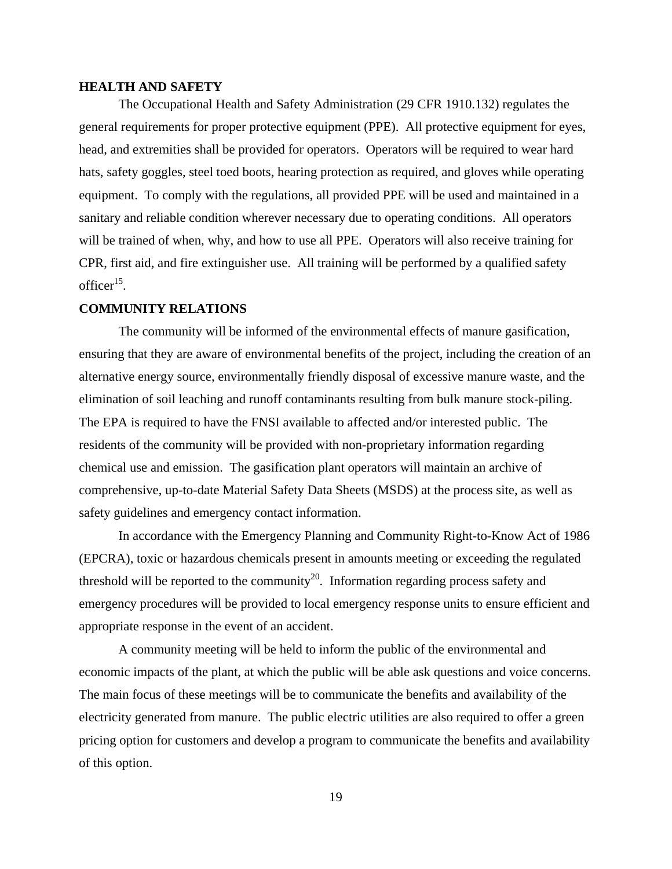#### **HEALTH AND SAFETY**

The Occupational Health and Safety Administration (29 CFR 1910.132) regulates the general requirements for proper protective equipment (PPE). All protective equipment for eyes, head, and extremities shall be provided for operators. Operators will be required to wear hard hats, safety goggles, steel toed boots, hearing protection as required, and gloves while operating equipment. To comply with the regulations, all provided PPE will be used and maintained in a sanitary and reliable condition wherever necessary due to operating conditions. All operators will be trained of when, why, and how to use all PPE. Operators will also receive training for CPR, first aid, and fire extinguisher use. All training will be performed by a qualified safety office $r^{15}$ .

#### **COMMUNITY RELATIONS**

The community will be informed of the environmental effects of manure gasification, ensuring that they are aware of environmental benefits of the project, including the creation of an alternative energy source, environmentally friendly disposal of excessive manure waste, and the elimination of soil leaching and runoff contaminants resulting from bulk manure stock-piling. The EPA is required to have the FNSI available to affected and/or interested public. The residents of the community will be provided with non-proprietary information regarding chemical use and emission. The gasification plant operators will maintain an archive of comprehensive, up-to-date Material Safety Data Sheets (MSDS) at the process site, as well as safety guidelines and emergency contact information.

 In accordance with the Emergency Planning and Community Right-to-Know Act of 1986 (EPCRA), toxic or hazardous chemicals present in amounts meeting or exceeding the regulated threshold will be reported to the community<sup>20</sup>. Information regarding process safety and emergency procedures will be provided to local emergency response units to ensure efficient and appropriate response in the event of an accident.

A community meeting will be held to inform the public of the environmental and economic impacts of the plant, at which the public will be able ask questions and voice concerns. The main focus of these meetings will be to communicate the benefits and availability of the electricity generated from manure. The public electric utilities are also required to offer a green pricing option for customers and develop a program to communicate the benefits and availability of this option.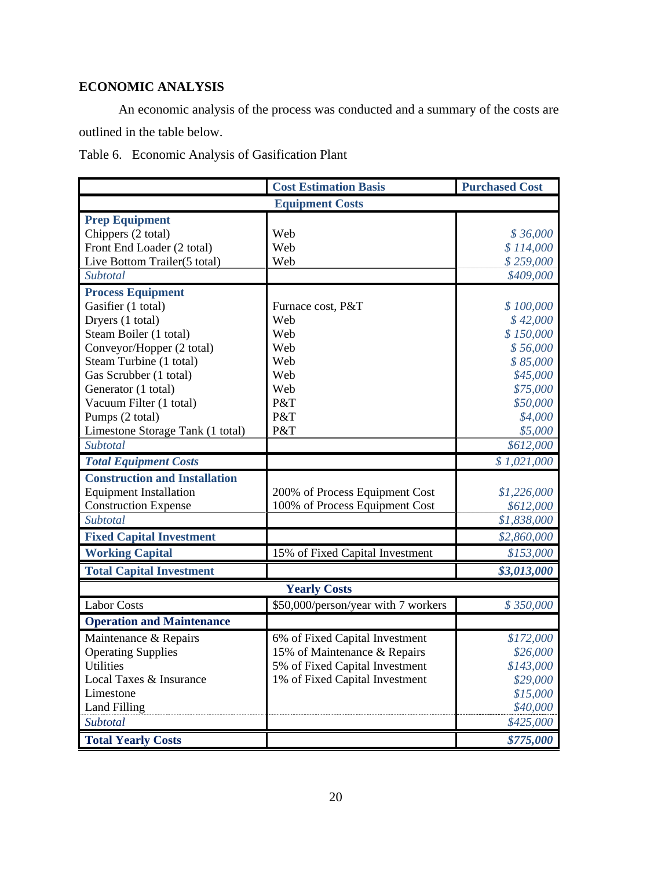### **ECONOMIC ANALYSIS**

An economic analysis of the process was conducted and a summary of the costs are outlined in the table below.

Table 6.Economic Analysis of Gasification Plant

|                                      | <b>Cost Estimation Basis</b>        | <b>Purchased Cost</b> |  |  |  |  |  |
|--------------------------------------|-------------------------------------|-----------------------|--|--|--|--|--|
| <b>Equipment Costs</b>               |                                     |                       |  |  |  |  |  |
| <b>Prep Equipment</b>                |                                     |                       |  |  |  |  |  |
| Chippers (2 total)                   | Web                                 | \$36,000              |  |  |  |  |  |
| Front End Loader (2 total)           | Web                                 | \$114,000             |  |  |  |  |  |
| Live Bottom Trailer(5 total)         | Web                                 | \$259,000             |  |  |  |  |  |
| Subtotal                             |                                     | \$409,000             |  |  |  |  |  |
| <b>Process Equipment</b>             |                                     |                       |  |  |  |  |  |
| Gasifier (1 total)                   | Furnace cost, P&T                   | \$100,000             |  |  |  |  |  |
| Dryers (1 total)                     | Web                                 | \$42,000              |  |  |  |  |  |
| Steam Boiler (1 total)               | Web                                 | \$150,000             |  |  |  |  |  |
| Conveyor/Hopper (2 total)            | Web                                 | \$56,000              |  |  |  |  |  |
| Steam Turbine (1 total)              | Web                                 | \$85,000              |  |  |  |  |  |
| Gas Scrubber (1 total)               | Web                                 | \$45,000              |  |  |  |  |  |
| Generator (1 total)                  | Web                                 | \$75,000              |  |  |  |  |  |
| Vacuum Filter (1 total)              | P&T                                 | \$50,000              |  |  |  |  |  |
| Pumps (2 total)                      | P&T                                 | \$4,000               |  |  |  |  |  |
| Limestone Storage Tank (1 total)     | P&T                                 | \$5,000               |  |  |  |  |  |
| Subtotal                             |                                     | \$612,000             |  |  |  |  |  |
| <b>Total Equipment Costs</b>         |                                     | \$1,021,000           |  |  |  |  |  |
| <b>Construction and Installation</b> |                                     |                       |  |  |  |  |  |
| <b>Equipment Installation</b>        | 200% of Process Equipment Cost      | \$1,226,000           |  |  |  |  |  |
| <b>Construction Expense</b>          | 100% of Process Equipment Cost      | \$612,000             |  |  |  |  |  |
| Subtotal                             |                                     | \$1,838,000           |  |  |  |  |  |
| <b>Fixed Capital Investment</b>      |                                     | \$2,860,000           |  |  |  |  |  |
| <b>Working Capital</b>               | 15% of Fixed Capital Investment     | \$153,000             |  |  |  |  |  |
| <b>Total Capital Investment</b>      |                                     | \$3,013,000           |  |  |  |  |  |
|                                      | <b>Yearly Costs</b>                 |                       |  |  |  |  |  |
| <b>Labor Costs</b>                   | \$50,000/person/year with 7 workers | \$350,000             |  |  |  |  |  |
| <b>Operation and Maintenance</b>     |                                     |                       |  |  |  |  |  |
| Maintenance & Repairs                | 6% of Fixed Capital Investment      | \$172,000             |  |  |  |  |  |
| <b>Operating Supplies</b>            | 15% of Maintenance & Repairs        | \$26,000              |  |  |  |  |  |
| <b>Utilities</b>                     | 5% of Fixed Capital Investment      | \$143,000             |  |  |  |  |  |
| Local Taxes & Insurance              | 1% of Fixed Capital Investment      | \$29,000              |  |  |  |  |  |
| Limestone                            |                                     | \$15,000              |  |  |  |  |  |
| <b>Land Filling</b>                  |                                     | \$40,000              |  |  |  |  |  |
| Subtotal                             |                                     | \$425,000             |  |  |  |  |  |
| <b>Total Yearly Costs</b>            |                                     | \$775,000             |  |  |  |  |  |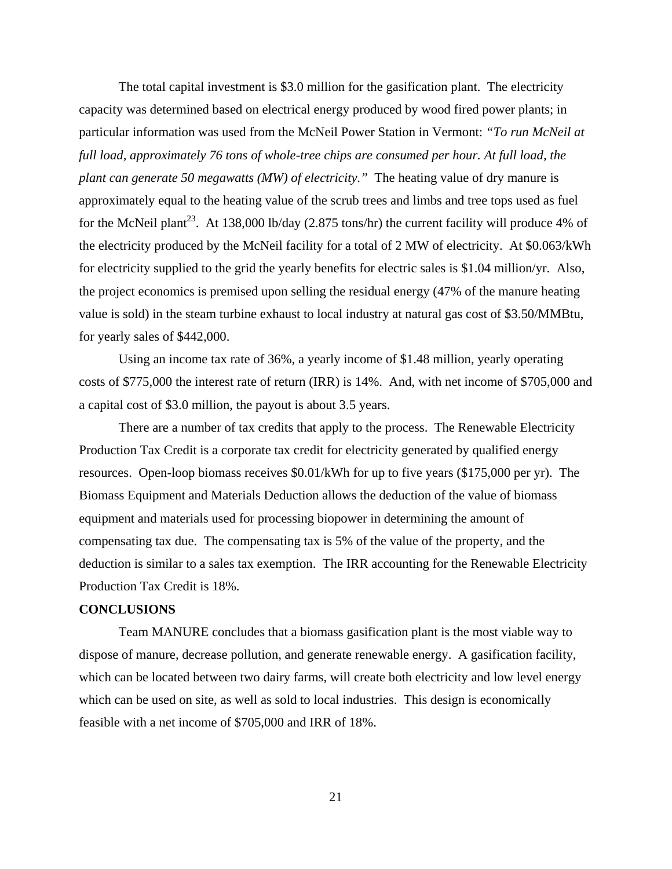The total capital investment is \$3.0 million for the gasification plant. The electricity capacity was determined based on electrical energy produced by wood fired power plants; in particular information was used from the McNeil Power Station in Vermont: *"To run McNeil at*  full load, approximately 76 tons of whole-tree chips are consumed per hour. At full load, the *plant can generate 50 megawatts (MW) of electricity."* The heating value of dry manure is approximately equal to the heating value of the scrub trees and limbs and tree tops used as fuel for the McNeil plant<sup>23</sup>. At 138,000 lb/day (2.875 tons/hr) the current facility will produce 4% of the electricity produced by the McNeil facility for a total of 2 MW of electricity. At \$0.063/kWh for electricity supplied to the grid the yearly benefits for electric sales is \$1.04 million/yr. Also, the project economics is premised upon selling the residual energy (47% of the manure heating value is sold) in the steam turbine exhaust to local industry at natural gas cost of \$3.50/MMBtu, for yearly sales of \$442,000.

Using an income tax rate of 36%, a yearly income of \$1.48 million, yearly operating costs of \$775,000 the interest rate of return (IRR) is 14%. And, with net income of \$705,000 and a capital cost of \$3.0 million, the payout is about 3.5 years.

 There are a number of tax credits that apply to the process. The Renewable Electricity Production Tax Credit is a corporate tax credit for electricity generated by qualified energy resources. Open-loop biomass receives \$0.01/kWh for up to five years (\$175,000 per yr). The Biomass Equipment and Materials Deduction allows the deduction of the value of biomass equipment and materials used for processing biopower in determining the amount of compensating tax due. The compensating tax is 5% of the value of the property, and the deduction is similar to a sales tax exemption. The IRR accounting for the Renewable Electricity Production Tax Credit is 18%.

#### **CONCLUSIONS**

 Team MANURE concludes that a biomass gasification plant is the most viable way to dispose of manure, decrease pollution, and generate renewable energy. A gasification facility, which can be located between two dairy farms, will create both electricity and low level energy which can be used on site, as well as sold to local industries. This design is economically feasible with a net income of \$705,000 and IRR of 18%.

21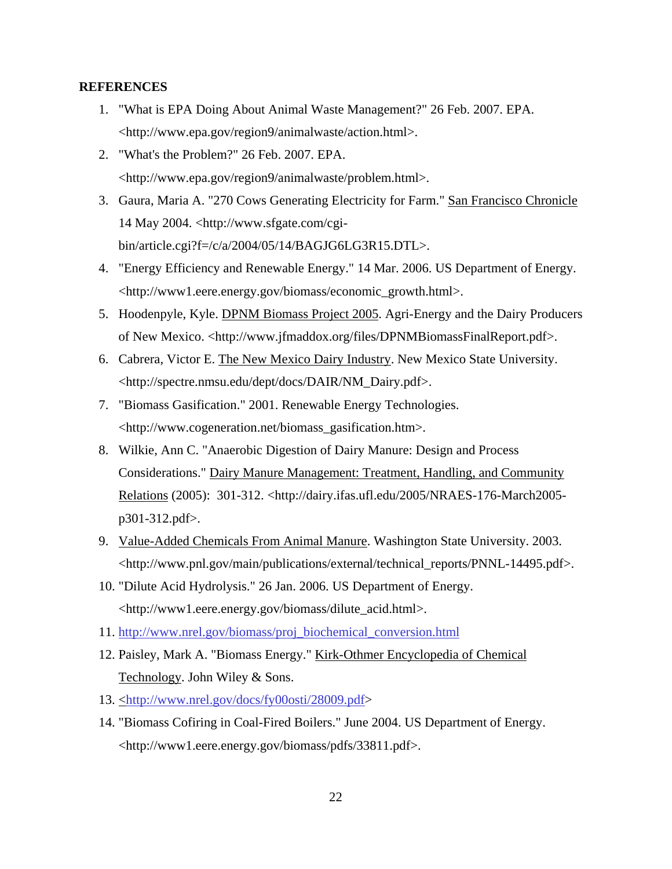#### **REFERENCES**

- 1. "What is EPA Doing About Animal Waste Management?" 26 Feb. 2007. EPA. <http://www.epa.gov/region9/animalwaste/action.html>.
- 2. "What's the Problem?" 26 Feb. 2007. EPA. <http://www.epa.gov/region9/animalwaste/problem.html>.
- 3. Gaura, Maria A. "270 Cows Generating Electricity for Farm." San Francisco Chronicle 14 May 2004. <http://www.sfgate.com/cgibin/article.cgi?f=/c/a/2004/05/14/BAGJG6LG3R15.DTL>.
- 4. "Energy Efficiency and Renewable Energy." 14 Mar. 2006. US Department of Energy. <http://www1.eere.energy.gov/biomass/economic\_growth.html>.
- 5. Hoodenpyle, Kyle. DPNM Biomass Project 2005. Agri-Energy and the Dairy Producers of New Mexico. <http://www.jfmaddox.org/files/DPNMBiomassFinalReport.pdf>.
- 6. Cabrera, Victor E. The New Mexico Dairy Industry. New Mexico State University. <http://spectre.nmsu.edu/dept/docs/DAIR/NM\_Dairy.pdf>.
- 7. "Biomass Gasification." 2001. Renewable Energy Technologies. <http://www.cogeneration.net/biomass\_gasification.htm>.
- 8. Wilkie, Ann C. "Anaerobic Digestion of Dairy Manure: Design and Process Considerations." Dairy Manure Management: Treatment, Handling, and Community Relations (2005): 301-312. <http://dairy.ifas.ufl.edu/2005/NRAES-176-March2005 p301-312.pdf>.
- 9. Value-Added Chemicals From Animal Manure. Washington State University. 2003. <http://www.pnl.gov/main/publications/external/technical\_reports/PNNL-14495.pdf>.
- 10. "Dilute Acid Hydrolysis." 26 Jan. 2006. US Department of Energy. <http://www1.eere.energy.gov/biomass/dilute\_acid.html>.
- 11. http://www.nrel.gov/biomass/proj\_biochemical\_conversion.html
- 12. Paisley, Mark A. "Biomass Energy." Kirk-Othmer Encyclopedia of Chemical Technology. John Wiley & Sons.
- 13. <http://www.nrel.gov/docs/fy00osti/28009.pdf>
- 14. "Biomass Cofiring in Coal-Fired Boilers." June 2004. US Department of Energy. <http://www1.eere.energy.gov/biomass/pdfs/33811.pdf>.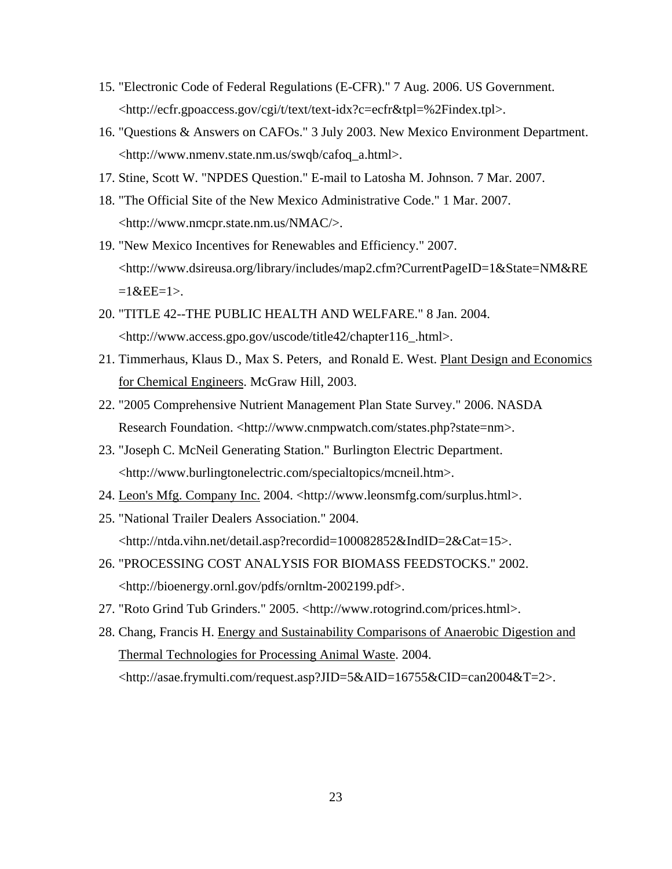- 15. "Electronic Code of Federal Regulations (E-CFR)." 7 Aug. 2006. US Government. <http://ecfr.gpoaccess.gov/cgi/t/text/text-idx?c=ecfr&tpl=%2Findex.tpl>.
- 16. "Questions & Answers on CAFOs." 3 July 2003. New Mexico Environment Department. <http://www.nmenv.state.nm.us/swqb/cafoq\_a.html>.
- 17. Stine, Scott W. "NPDES Question." E-mail to Latosha M. Johnson. 7 Mar. 2007.
- 18. "The Official Site of the New Mexico Administrative Code." 1 Mar. 2007. <http://www.nmcpr.state.nm.us/NMAC/>.
- 19. "New Mexico Incentives for Renewables and Efficiency." 2007. <http://www.dsireusa.org/library/includes/map2.cfm?CurrentPageID=1&State=NM&RE  $=1$  & EE=1>.
- 20. "TITLE 42--THE PUBLIC HEALTH AND WELFARE." 8 Jan. 2004. <http://www.access.gpo.gov/uscode/title42/chapter116\_.html>.
- 21. Timmerhaus, Klaus D., Max S. Peters, and Ronald E. West. Plant Design and Economics for Chemical Engineers. McGraw Hill, 2003.
- 22. "2005 Comprehensive Nutrient Management Plan State Survey." 2006. NASDA Research Foundation. <http://www.cnmpwatch.com/states.php?state=nm>.
- 23. "Joseph C. McNeil Generating Station." Burlington Electric Department. <http://www.burlingtonelectric.com/specialtopics/mcneil.htm>.
- 24. Leon's Mfg. Company Inc. 2004. <http://www.leonsmfg.com/surplus.html>.
- 25. "National Trailer Dealers Association." 2004. <http://ntda.vihn.net/detail.asp?recordid=100082852&IndID=2&Cat=15>.
- 26. "PROCESSING COST ANALYSIS FOR BIOMASS FEEDSTOCKS." 2002. <http://bioenergy.ornl.gov/pdfs/ornltm-2002199.pdf>.
- 27. "Roto Grind Tub Grinders." 2005. <http://www.rotogrind.com/prices.html>.
- 28. Chang, Francis H. Energy and Sustainability Comparisons of Anaerobic Digestion and Thermal Technologies for Processing Animal Waste. 2004. <http://asae.frymulti.com/request.asp?JID=5&AID=16755&CID=can2004&T=2>.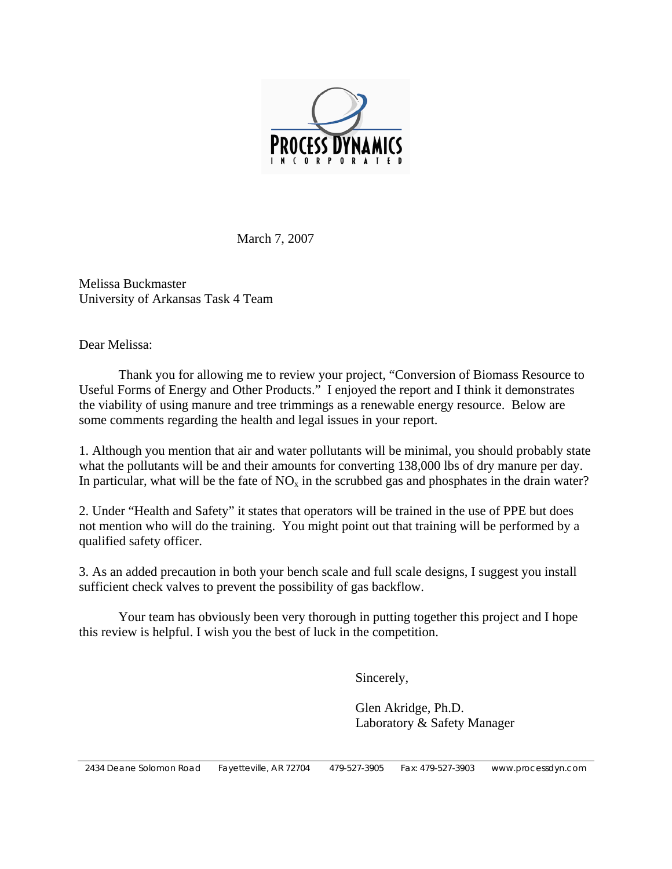

March 7, 2007

Melissa Buckmaster University of Arkansas Task 4 Team

Dear Melissa:

 Thank you for allowing me to review your project, "Conversion of Biomass Resource to Useful Forms of Energy and Other Products." I enjoyed the report and I think it demonstrates the viability of using manure and tree trimmings as a renewable energy resource. Below are some comments regarding the health and legal issues in your report.

1. Although you mention that air and water pollutants will be minimal, you should probably state what the pollutants will be and their amounts for converting 138,000 lbs of dry manure per day. In particular, what will be the fate of  $NO<sub>x</sub>$  in the scrubbed gas and phosphates in the drain water?

2. Under "Health and Safety" it states that operators will be trained in the use of PPE but does not mention who will do the training. You might point out that training will be performed by a qualified safety officer.

3. As an added precaution in both your bench scale and full scale designs, I suggest you install sufficient check valves to prevent the possibility of gas backflow.

 Your team has obviously been very thorough in putting together this project and I hope this review is helpful. I wish you the best of luck in the competition.

Sincerely,

 Glen Akridge, Ph.D. Laboratory & Safety Manager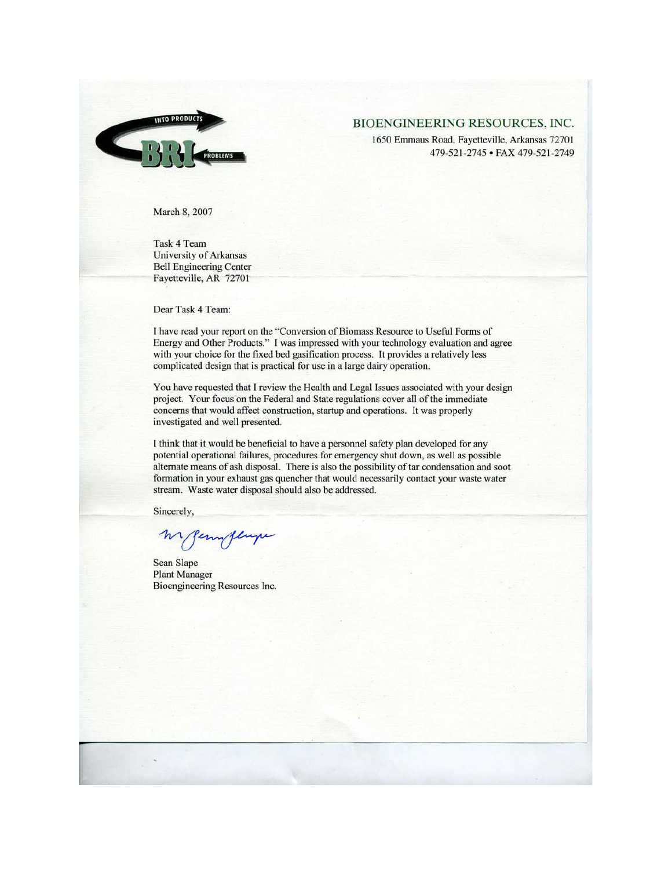

#### BIOENGINEERING RESOURCES, INC.

1650 Emmaus Road, Fayetteville, Arkansas 72701 479-521-2745 • FAX 479-521-2749

March 8, 2007

Task 4 Team University of Arkansas **Bell Engineering Center** Fayetteville, AR 72701

Dear Task 4 Team:

I have read your report on the "Conversion of Biomass Resource to Useful Forms of Energy and Other Products." I was impressed with your technology evaluation and agree with your choice for the fixed bed gasification process. It provides a relatively less complicated design that is practical for use in a large dairy operation.

You have requested that I review the Health and Legal Issues associated with your design project. Your focus on the Federal and State regulations cover all of the immediate concerns that would affect construction, startup and operations. It was properly investigated and well presented.

I think that it would be beneficial to have a personnel safety plan developed for any potential operational failures, procedures for emergency shut down, as well as possible alternate means of ash disposal. There is also the possibility of tar condensation and soot formation in your exhaust gas quencher that would necessarily contact your waste water stream. Waste water disposal should also be addressed.

Sincerely,

Sean Slape **Plant Manager** Bioengineering Resources Inc.